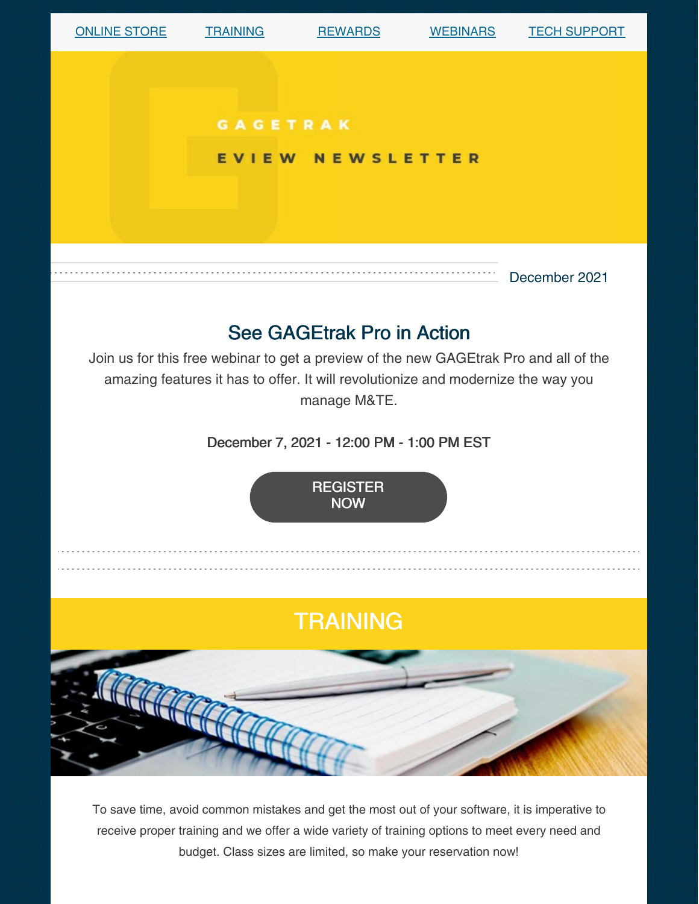

To save time, avoid common mistakes and get the most out of your software, it is imperative to receive proper training and we offer a wide variety of training options to meet every need and budget. Class sizes are limited, so make your reservation now!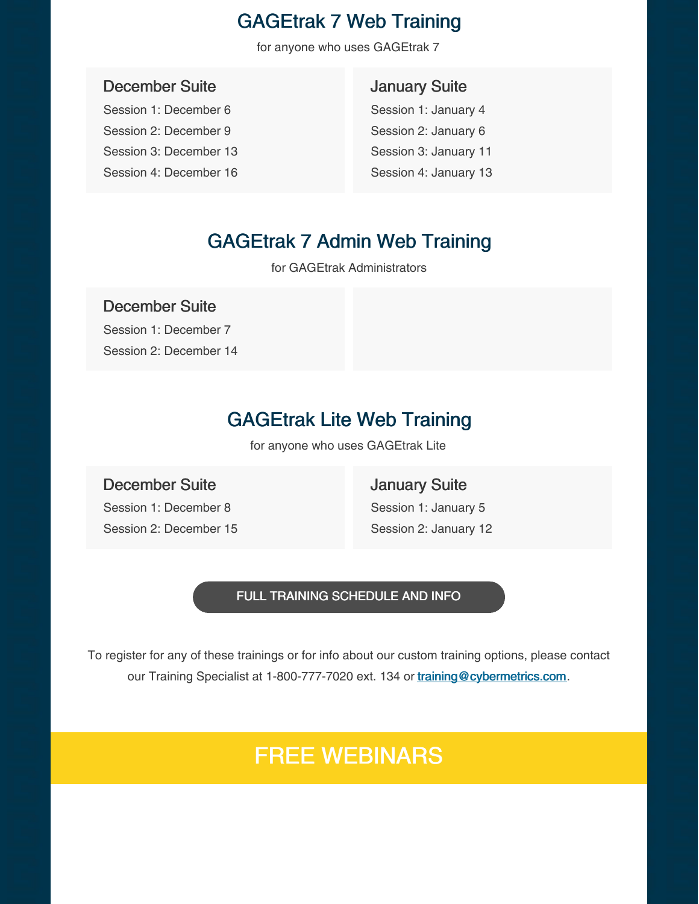## GAGEtrak 7 Web Training

for anyone who uses GAGEtrak 7

#### December Suite

Session 1: December 6 Session 2: December 9 Session 3: December 13 Session 4: December 16

### January Suite

Session 1: January 4 Session 2: January 6 Session 3: January 11 Session 4: January 13

## GAGEtrak 7 Admin Web Training

for GAGEtrak Administrators

### December Suite

Session 1: December 7 Session 2: December 14

## GAGEtrak Lite Web Training

for anyone who uses GAGEtrak Lite

### December Suite Session 1: December 8

Session 2: December 15

January Suite Session 1: January 5 Session 2: January 12

#### FULL TRAINING [SCHEDULE](https://gagetrak.com/training-schedule/) AND INFO

To register for any of these trainings or for info about our custom training options, please contact our Training Specialist at 1-800-777-7020 ext. 134 or [training@cybermetrics.com](mailto:training@cybermetrics.com).

# FREE WEBINARS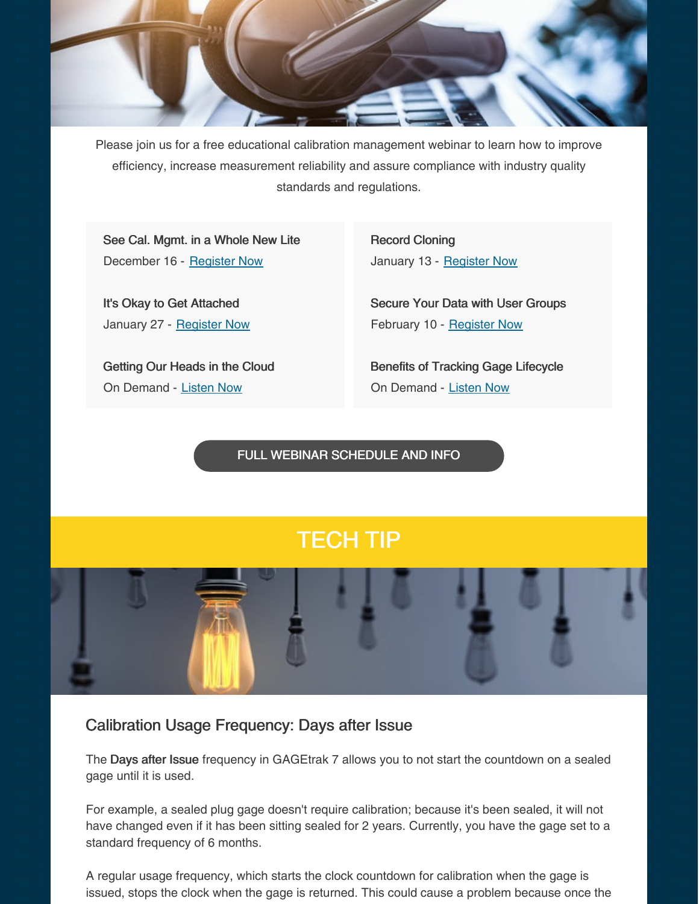

Please join us for a free educational calibration management webinar to learn how to improve efficiency, increase measurement reliability and assure compliance with industry quality standards and regulations.

See Cal. Mgmt. in a Whole New Lite December 16 - [Register](https://register.gotowebinar.com/register/5373597417242776075) Now

It's Okay to Get Attached January 27 - [Register](https://register.gotowebinar.com/register/8879735490206543375) Now

Getting Our Heads in the Cloud On Demand - [Listen](https://www.qualitymag.com/media/podcasts/2594-q-cast/play/170-globalization-forces-calibration-software-providers-to-get-their-heads-in-the-cloud) Now

Record Cloning January 13 - [Register](https://register.gotowebinar.com/register/8051504167328441355) Now

Secure Your Data with User Groups February 10 - [Register](https://register.gotowebinar.com/register/4319428550633522445) Now

Benefits of Tracking Gage Lifecycle On Demand - [Listen](https://www.qualitymag.com/media/podcasts/2594-q-cast/play/197-the-benefits-of-tracking-gage-lifecycle) Now

FULL WEBINAR [SCHEDULE](https://gagetrak.com/webinars/) AND INFO

# TECH TIP



### Calibration Usage Frequency: Days after Issue

The Days after Issue frequency in GAGEtrak 7 allows you to not start the countdown on a sealed gage until it is used.

For example, a sealed plug gage doesn't require calibration; because it's been sealed, it will not have changed even if it has been sitting sealed for 2 years. Currently, you have the gage set to a standard frequency of 6 months.

A regular usage frequency, which starts the clock countdown for calibration when the gage is issued, stops the clock when the gage is returned. This could cause a problem because once the